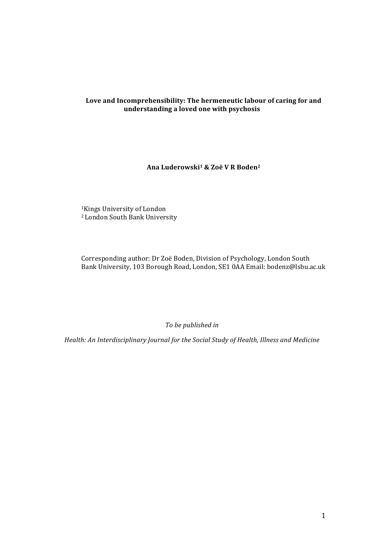# Love and Incomprehensibility: The hermeneutic labour of caring for and **understanding a loved one with psychosis**

# **Ana Luderowski1 & Zoë V R Boden2**

<sup>1</sup>Kings University of London <sup>2</sup> London South Bank University

Corresponding author: Dr Zoë Boden, Division of Psychology, London South Bank University, 103 Borough Road, London, SE1 0AA Email: bodenz@lsbu.ac.uk

To be published in

*Health: An Interdisciplinary Journal for the Social Study of Health, Illness and Medicine*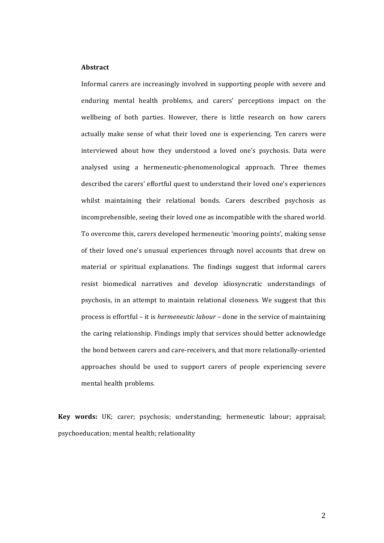# **Abstract**

Informal carers are increasingly involved in supporting people with severe and enduring mental health problems, and carers' perceptions impact on the wellbeing of both parties. However, there is little research on how carers actually make sense of what their loved one is experiencing. Ten carers were interviewed about how they understood a loved one's psychosis. Data were analysed using a hermeneutic-phenomenological approach. Three themes described the carers' effortful quest to understand their loved one's experiences whilst maintaining their relational bonds. Carers described psychosis as incomprehensible, seeing their loved one as incompatible with the shared world. To overcome this, carers developed hermeneutic 'mooring points', making sense of their loved one's unusual experiences through novel accounts that drew on material or spiritual explanations. The findings suggest that informal carers resist biomedical narratives and develop idiosyncratic understandings of psychosis, in an attempt to maintain relational closeness. We suggest that this process is effortful – it is *hermeneutic labour* – done in the service of maintaining the caring relationship. Findings imply that services should better acknowledge the bond between carers and care-receivers, and that more relationally-oriented approaches should be used to support carers of people experiencing severe mental health problems.

**Key words:** UK; carer; psychosis; understanding; hermeneutic labour; appraisal; psychoeducation; mental health; relationality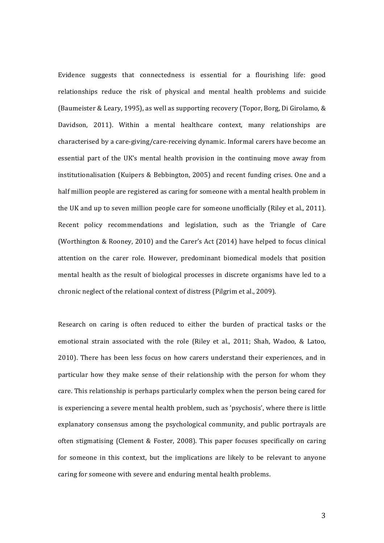Evidence suggests that connectedness is essential for a flourishing life: good relationships reduce the risk of physical and mental health problems and suicide (Baumeister & Leary, 1995), as well as supporting recovery (Topor, Borg, Di Girolamo, & Davidson, 2011). Within a mental healthcare context, many relationships are characterised by a care-giving/care-receiving dynamic. Informal carers have become an essential part of the UK's mental health provision in the continuing move away from institutionalisation (Kuipers & Bebbington, 2005) and recent funding crises. One and a half million people are registered as caring for someone with a mental health problem in the UK and up to seven million people care for someone unofficially (Riley et al., 2011). Recent policy recommendations and legislation, such as the Triangle of Care (Worthington & Rooney, 2010) and the Carer's Act  $(2014)$  have helped to focus clinical attention on the carer role. However, predominant biomedical models that position mental health as the result of biological processes in discrete organisms have led to a chronic neglect of the relational context of distress (Pilgrim et al., 2009).

Research on caring is often reduced to either the burden of practical tasks or the emotional strain associated with the role (Riley et al., 2011; Shah, Wadoo, & Latoo, 2010). There has been less focus on how carers understand their experiences, and in particular how they make sense of their relationship with the person for whom they care. This relationship is perhaps particularly complex when the person being cared for is experiencing a severe mental health problem, such as 'psychosis', where there is little explanatory consensus among the psychological community, and public portrayals are often stigmatising (Clement & Foster, 2008). This paper focuses specifically on caring for someone in this context, but the implications are likely to be relevant to anyone caring for someone with severe and enduring mental health problems.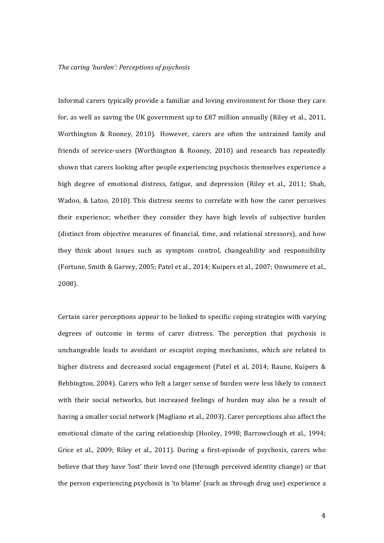Informal carers typically provide a familiar and loving environment for those they care for, as well as saving the UK government up to  $E87$  million annually (Riley et al., 2011, Worthington & Rooney, 2010). However, carers are often the untrained family and friends of service-users (Worthington  $&$  Rooney, 2010) and research has repeatedly shown that carers looking after people experiencing psychosis themselves experience a high degree of emotional distress, fatigue, and depression (Riley et al., 2011; Shah, Wadoo, & Latoo, 2010). This distress seems to correlate with how the carer perceives their experience; whether they consider they have high levels of subjective burden (distinct from objective measures of financial, time, and relational stressors), and how they think about issues such as symptom control, changeability and responsibility (Fortune, Smith & Garvey, 2005; Patel et al., 2014; Kuipers et al., 2007; Onwumere et al., 2008). 

Certain carer perceptions appear to be linked to specific coping strategies with varying degrees of outcome in terms of carer distress. The perception that psychosis is unchangeable leads to avoidant or escapist coping mechanisms, which are related to higher distress and decreased social engagement (Patel et al, 2014; Raune, Kuipers  $\&$ Bebbington, 2004). Carers who felt a larger sense of burden were less likely to connect with their social networks, but increased feelings of burden may also be a result of having a smaller social network (Magliano et al., 2003). Carer perceptions also affect the emotional climate of the caring relationship (Hooley, 1998; Barrowclough et al., 1994; Grice et al., 2009; Riley et al., 2011). During a first-episode of psychosis, carers who believe that they have 'lost' their loved one (through perceived identity change) or that the person experiencing psychosis is 'to blame' (such as through drug use) experience a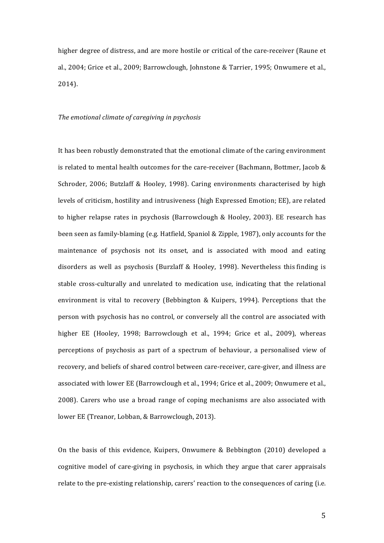higher degree of distress, and are more hostile or critical of the care-receiver (Raune et al., 2004; Grice et al., 2009; Barrowclough, Johnstone & Tarrier, 1995; Onwumere et al., 2014). 

#### *The emotional climate of caregiving in psychosis*

It has been robustly demonstrated that the emotional climate of the caring environment is related to mental health outcomes for the care-receiver (Bachmann, Bottmer, Jacob & Schroder, 2006; Butzlaff & Hooley, 1998). Caring environments characterised by high levels of criticism, hostility and intrusiveness (high Expressed Emotion; EE), are related to higher relapse rates in psychosis (Barrowclough & Hooley, 2003). EE research has been seen as family-blaming (e.g. Hatfield, Spaniol & Zipple, 1987), only accounts for the maintenance of psychosis not its onset, and is associated with mood and eating disorders as well as psychosis (Burzlaff & Hooley, 1998). Nevertheless this finding is stable cross-culturally and unrelated to medication use, indicating that the relational environment is vital to recovery (Bebbington & Kuipers, 1994). Perceptions that the person with psychosis has no control, or conversely all the control are associated with higher EE (Hooley, 1998; Barrowclough et al., 1994; Grice et al., 2009), whereas perceptions of psychosis as part of a spectrum of behaviour, a personalised view of recovery, and beliefs of shared control between care-receiver, care-giver, and illness are associated with lower EE (Barrowclough et al., 1994; Grice et al., 2009; Onwumere et al., 2008). Carers who use a broad range of coping mechanisms are also associated with lower EE (Treanor, Lobban, & Barrowclough, 2013).

On the basis of this evidence, Kuipers, Onwumere & Bebbington  $(2010)$  developed a cognitive model of care-giving in psychosis, in which they argue that carer appraisals relate to the pre-existing relationship, carers' reaction to the consequences of caring (i.e.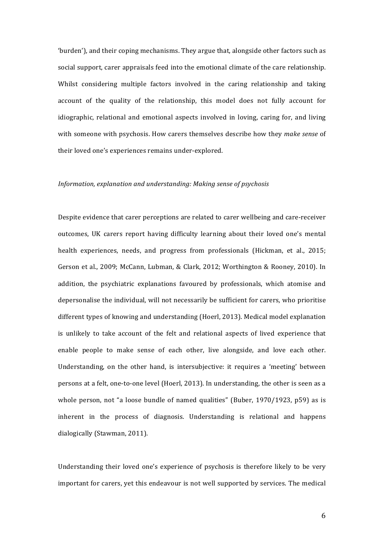'burden'), and their coping mechanisms. They argue that, alongside other factors such as social support, carer appraisals feed into the emotional climate of the care relationship. Whilst considering multiple factors involved in the caring relationship and taking account of the quality of the relationship, this model does not fully account for idiographic, relational and emotional aspects involved in loving, caring for, and living with someone with psychosis. How carers themselves describe how they *make sense* of their loved one's experiences remains under-explored.

#### *Information, explanation and understanding: Making sense of psychosis*

Despite evidence that carer perceptions are related to carer wellbeing and care-receiver outcomes, UK carers report having difficulty learning about their loved one's mental health experiences, needs, and progress from professionals (Hickman, et al., 2015; Gerson et al., 2009; McCann, Lubman, & Clark, 2012; Worthington & Rooney, 2010). In addition, the psychiatric explanations favoured by professionals, which atomise and depersonalise the individual, will not necessarily be sufficient for carers, who prioritise different types of knowing and understanding (Hoerl, 2013). Medical model explanation is unlikely to take account of the felt and relational aspects of lived experience that enable people to make sense of each other, live alongside, and love each other. Understanding, on the other hand, is intersubjective: it requires a 'meeting' between persons at a felt, one-to-one level (Hoerl, 2013). In understanding, the other is seen as a whole person, not "a loose bundle of named qualities" (Buber,  $1970/1923$ , p59) as is inherent in the process of diagnosis. Understanding is relational and happens dialogically (Stawman, 2011).

Understanding their loved one's experience of psychosis is therefore likely to be very important for carers, yet this endeavour is not well supported by services. The medical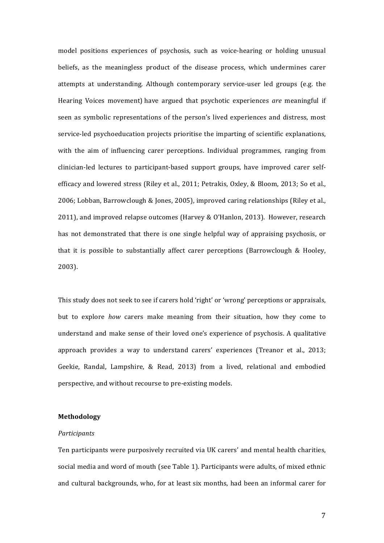model positions experiences of psychosis, such as voice-hearing or holding unusual beliefs, as the meaningless product of the disease process, which undermines carer attempts at understanding. Although contemporary service-user led groups (e.g. the Hearing Voices movement) have argued that psychotic experiences *are* meaningful if seen as symbolic representations of the person's lived experiences and distress, most service-led psychoeducation projects prioritise the imparting of scientific explanations, with the aim of influencing carer perceptions. Individual programmes, ranging from clinician-led lectures to participant-based support groups, have improved carer selfefficacy and lowered stress (Riley et al., 2011; Petrakis, Oxley, & Bloom, 2013; So et al., 2006; Lobban, Barrowclough & Jones, 2005), improved caring relationships (Riley et al., 2011), and improved relapse outcomes (Harvey & O'Hanlon, 2013). However, research has not demonstrated that there is one single helpful way of appraising psychosis, or that it is possible to substantially affect carer perceptions (Barrowclough & Hooley, 2003). 

This study does not seek to see if carers hold 'right' or 'wrong' perceptions or appraisals, but to explore *how* carers make meaning from their situation, how they come to understand and make sense of their loved one's experience of psychosis. A qualitative approach provides a way to understand carers' experiences (Treanor et al., 2013; Geekie, Randal, Lampshire,  $&$  Read, 2013) from a lived, relational and embodied perspective, and without recourse to pre-existing models.

# **Methodology**

# *Participants*

Ten participants were purposively recruited via UK carers' and mental health charities, social media and word of mouth (see Table 1). Participants were adults, of mixed ethnic and cultural backgrounds, who, for at least six months, had been an informal carer for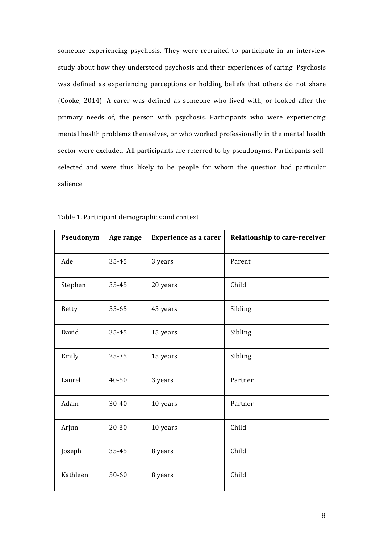someone experiencing psychosis. They were recruited to participate in an interview study about how they understood psychosis and their experiences of caring. Psychosis was defined as experiencing perceptions or holding beliefs that others do not share (Cooke, 2014). A carer was defined as someone who lived with, or looked after the primary needs of, the person with psychosis. Participants who were experiencing mental health problems themselves, or who worked professionally in the mental health sector were excluded. All participants are referred to by pseudonyms. Participants selfselected and were thus likely to be people for whom the question had particular salience.

| Pseudonym    | Age range | <b>Experience as a carer</b> | <b>Relationship to care-receiver</b> |
|--------------|-----------|------------------------------|--------------------------------------|
| Ade          | 35-45     | 3 years                      | Parent                               |
| Stephen      | 35-45     | 20 years                     | Child                                |
| <b>Betty</b> | 55-65     | 45 years                     | Sibling                              |
| David        | 35-45     | 15 years                     | Sibling                              |
| Emily        | 25-35     | 15 years                     | Sibling                              |
| Laurel       | 40-50     | 3 years                      | Partner                              |
| Adam         | 30-40     | 10 years                     | Partner                              |
| Arjun        | 20-30     | 10 years                     | Child                                |
| Joseph       | 35-45     | 8 years                      | Child                                |
| Kathleen     | 50-60     | 8 years                      | Child                                |

Table 1. Participant demographics and context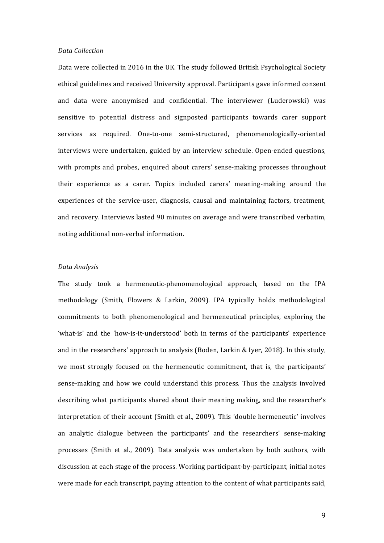#### *Data Collection*

Data were collected in 2016 in the UK. The study followed British Psychological Society ethical guidelines and received University approval. Participants gave informed consent and data were anonymised and confidential. The interviewer (Luderowski) was sensitive to potential distress and signposted participants towards carer support services as required. One-to-one semi-structured, phenomenologically-oriented interviews were undertaken, guided by an interview schedule. Open-ended questions, with prompts and probes, enquired about carers' sense-making processes throughout their experience as a carer. Topics included carers' meaning-making around the experiences of the service-user, diagnosis, causal and maintaining factors, treatment, and recovery. Interviews lasted 90 minutes on average and were transcribed verbatim, noting additional non-verbal information.

#### *Data Analysis*

The study took a hermeneutic-phenomenological approach, based on the IPA methodology (Smith, Flowers & Larkin, 2009). IPA typically holds methodological commitments to both phenomenological and hermeneutical principles, exploring the 'what-is' and the 'how-is-it-understood' both in terms of the participants' experience and in the researchers' approach to analysis (Boden, Larkin & Iyer, 2018). In this study, we most strongly focused on the hermeneutic commitment, that is, the participants' sense-making and how we could understand this process. Thus the analysis involved describing what participants shared about their meaning making, and the researcher's interpretation of their account (Smith et al., 2009). This 'double hermeneutic' involves an analytic dialogue between the participants' and the researchers' sense-making processes (Smith et al., 2009). Data analysis was undertaken by both authors, with discussion at each stage of the process. Working participant-by-participant, initial notes were made for each transcript, paying attention to the content of what participants said,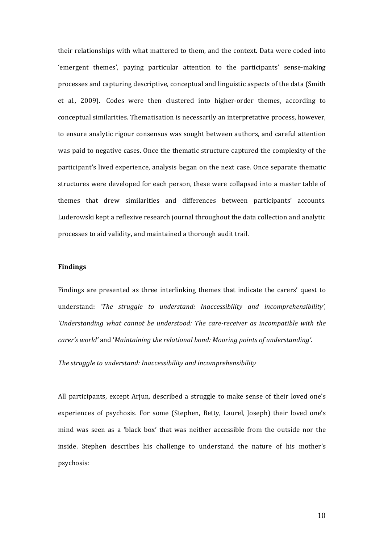their relationships with what mattered to them, and the context. Data were coded into 'emergent themes', paying particular attention to the participants' sense-making processes and capturing descriptive, conceptual and linguistic aspects of the data (Smith et al., 2009). Codes were then clustered into higher-order themes, according to conceptual similarities. Thematisation is necessarily an interpretative process, however, to ensure analytic rigour consensus was sought between authors, and careful attention was paid to negative cases. Once the thematic structure captured the complexity of the participant's lived experience, analysis began on the next case. Once separate thematic structures were developed for each person, these were collapsed into a master table of themes that drew similarities and differences between participants' accounts. Luderowski kept a reflexive research journal throughout the data collection and analytic processes to aid validity, and maintained a thorough audit trail.

### **Findings**

Findings are presented as three interlinking themes that indicate the carers' quest to understand: '*The struggle to understand: Inaccessibility and incomprehensibility'*, 'Understanding what cannot be understood: The care-receiver as incompatible with the *carer's* world' and '*Maintaining the relational bond: Mooring points of understanding'.* 

The struggle to understand: Inaccessibility and incomprehensibility

All participants, except Arjun, described a struggle to make sense of their loved one's experiences of psychosis. For some (Stephen, Betty, Laurel, Joseph) their loved one's mind was seen as a 'black box' that was neither accessible from the outside nor the inside. Stephen describes his challenge to understand the nature of his mother's psychosis: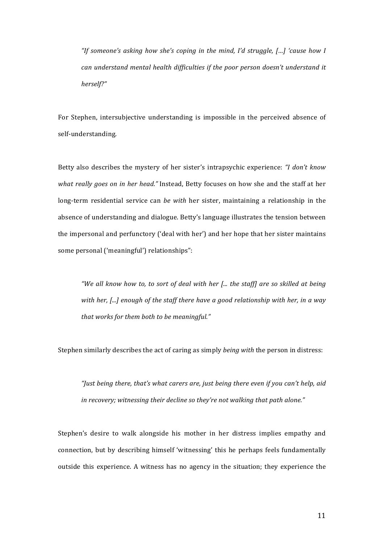*"If someone's asking how she's coping in the mind, I'd struggle, […] 'cause how I can understand mental health difficulties if the poor person doesn't understand it herself?"* 

For Stephen, intersubjective understanding is impossible in the perceived absence of self-understanding.

Betty also describes the mystery of her sister's intrapsychic experience: *"I don't know what really goes on in her head."* Instead, Betty focuses on how she and the staff at her long-term residential service can *be* with her sister, maintaining a relationship in the absence of understanding and dialogue. Betty's language illustrates the tension between the impersonal and perfunctory ('deal with her') and her hope that her sister maintains some personal ('meaningful') relationships":

*"We all know how to, to sort of deal with her [... the staff]* are so skilled at being with her, [...] enough of the staff there have a good relationship with her, in a way *that* works for them both to be meaningful."

Stephen similarly describes the act of caring as simply *being with* the person in distress:

"Just being there, that's what carers are, just being there even if you can't help, aid *in recovery;* witnessing their decline so they're not walking that path alone."

Stephen's desire to walk alongside his mother in her distress implies empathy and connection, but by describing himself 'witnessing' this he perhaps feels fundamentally outside this experience. A witness has no agency in the situation; they experience the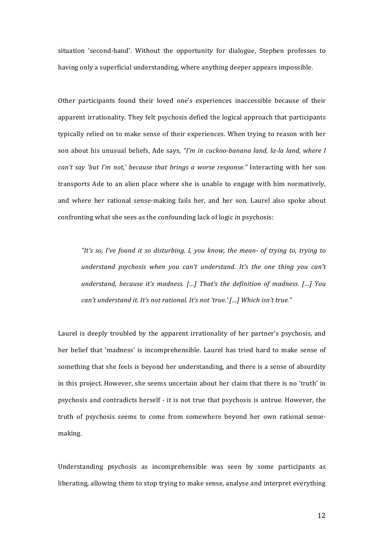situation 'second-hand'. Without the opportunity for dialogue, Stephen professes to having only a superficial understanding, where anything deeper appears impossible.

Other participants found their loved one's experiences inaccessible because of their apparent irrationality. They felt psychosis defied the logical approach that participants typically relied on to make sense of their experiences. When trying to reason with her son about his unusual beliefs, Ade says, *"I'm in cuckoo-banana land, la-la land, where I can't* say 'but I'm not,' because that brings a worse response." Interacting with her son transports Ade to an alien place where she is unable to engage with him normatively, and where her rational sense-making fails her, and her son. Laurel also spoke about confronting what she sees as the confounding lack of logic in psychosis:

"It's so, I've found it so disturbing. I, you know, the mean- of trying to, trying to *understand psychosis when you can't understand. It's the one thing you can't understand, because it's madness.* [...] That's the definition of madness. [...] You *can't understand it. It's not rational. It's not 'true.'* [...] Which isn't true."

Laurel is deeply troubled by the apparent irrationality of her partner's psychosis, and her belief that 'madness' is incomprehensible. Laurel has tried hard to make sense of something that she feels is beyond her understanding, and there is a sense of absurdity in this project. However, she seems uncertain about her claim that there is no 'truth' in psychosis and contradicts herself - it is not true that psychosis is untrue. However, the truth of psychosis seems to come from somewhere beyond her own rational sensemaking.

Understanding psychosis as incomprehensible was seen by some participants as liberating, allowing them to stop trying to make sense, analyse and interpret everything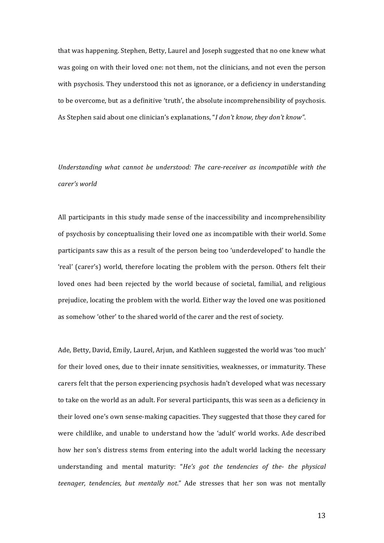that was happening. Stephen, Betty, Laurel and Joseph suggested that no one knew what was going on with their loved one: not them, not the clinicians, and not even the person with psychosis. They understood this not as ignorance, or a deficiency in understanding to be overcome, but as a definitive 'truth', the absolute incomprehensibility of psychosis. As Stephen said about one clinician's explanations, "*I don't know, they don't know"*.

Understanding what cannot be understood: The care-receiver as incompatible with the *carer's world*

All participants in this study made sense of the inaccessibility and incomprehensibility of psychosis by conceptualising their loved one as incompatible with their world. Some participants saw this as a result of the person being too 'underdeveloped' to handle the 'real' (carer's) world, therefore locating the problem with the person. Others felt their loved ones had been rejected by the world because of societal, familial, and religious prejudice, locating the problem with the world. Either way the loved one was positioned as somehow 'other' to the shared world of the carer and the rest of society.

Ade, Betty, David, Emily, Laurel, Arjun, and Kathleen suggested the world was 'too much' for their loved ones, due to their innate sensitivities, weaknesses, or immaturity. These carers felt that the person experiencing psychosis hadn't developed what was necessary to take on the world as an adult. For several participants, this was seen as a deficiency in their loved one's own sense-making capacities. They suggested that those they cared for were childlike, and unable to understand how the 'adult' world works. Ade described how her son's distress stems from entering into the adult world lacking the necessary understanding and mental maturity: "*He's got the tendencies of the- the physical teenager, tendencies, but mentally not.*" Ade stresses that her son was not mentally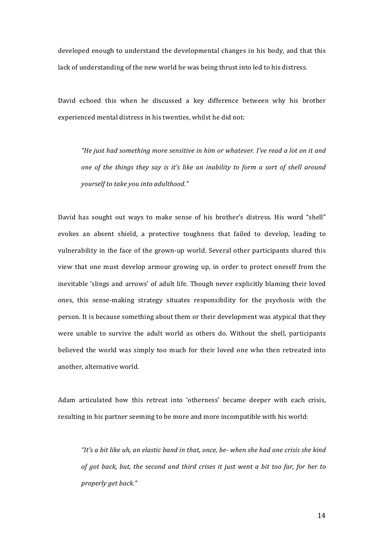developed enough to understand the developmental changes in his body, and that this lack of understanding of the new world he was being thrust into led to his distress.

David echoed this when he discussed a key difference between why his brother experienced mental distress in his twenties, whilst he did not:

*"He just had something more sensitive in him or whatever. I've read a lot on it and one* of the things they say is it's like an inability to form a sort of shell around *yourself to take you into adulthood."*

David has sought out ways to make sense of his brother's distress. His word "shell" evokes an absent shield, a protective toughness that failed to develop, leading to vulnerability in the face of the grown-up world. Several other participants shared this view that one must develop armour growing up, in order to protect oneself from the inevitable 'slings and arrows' of adult life. Though never explicitly blaming their loved ones, this sense-making strategy situates responsibility for the psychosis with the person. It is because something about them or their development was atypical that they were unable to survive the adult world as others do. Without the shell, participants believed the world was simply too much for their loved one who then retreated into another, alternative world.

Adam articulated how this retreat into 'otherness' became deeper with each crisis, resulting in his partner seeming to be more and more incompatible with his world:

"It's a bit like uh, an elastic band in that, once, be- when she had one crisis she kind of got back, but, the second and third crises it just went a bit too far, for her to *properly get back."*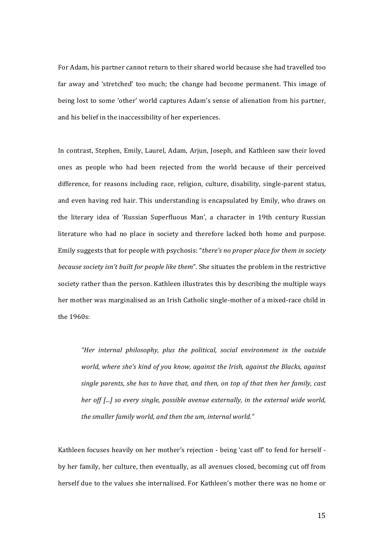For Adam, his partner cannot return to their shared world because she had travelled too far away and 'stretched' too much; the change had become permanent. This image of being lost to some 'other' world captures Adam's sense of alienation from his partner, and his belief in the inaccessibility of her experiences.

In contrast, Stephen, Emily, Laurel, Adam, Arjun, Joseph, and Kathleen saw their loved ones as people who had been rejected from the world because of their perceived difference, for reasons including race, religion, culture, disability, single-parent status, and even having red hair. This understanding is encapsulated by Emily, who draws on the literary idea of 'Russian Superfluous Man', a character in 19th century Russian literature who had no place in society and therefore lacked both home and purpose. Emily suggests that for people with psychosis: "there's no proper place for them in society *because society isn't built for people like them"*. She situates the problem in the restrictive society rather than the person. Kathleen illustrates this by describing the multiple ways her mother was marginalised as an Irish Catholic single-mother of a mixed-race child in the 1960s:

"Her internal philosophy, plus the political, social environment in the outside *world, where she's kind of you know, against the Irish, against the Blacks, against single parents, she has to have that, and then, on top of that then her family, cast her off [...]* so every single, possible avenue externally, in the external wide world, the smaller family world, and then the um, internal world."

Kathleen focuses heavily on her mother's rejection - being 'cast off' to fend for herself by her family, her culture, then eventually, as all avenues closed, becoming cut off from herself due to the values she internalised. For Kathleen's mother there was no home or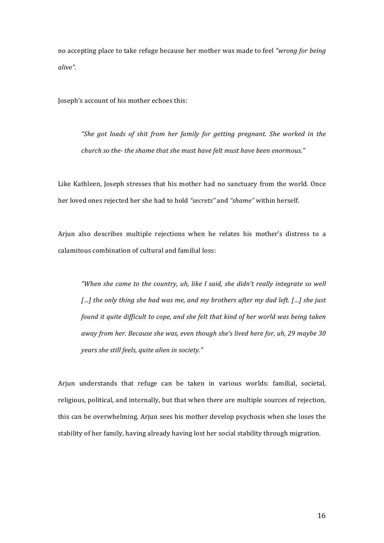no accepting place to take refuge because her mother was made to feel "wrong for being *alive".*

Joseph's account of his mother echoes this:

"She got loads of shit from her family for getting pregnant. She worked in the *church* so the- the shame that she must have felt must have been enormous."

Like Kathleen, Joseph stresses that his mother had no sanctuary from the world. Once her loved ones rejected her she had to hold "secrets" and "shame" within herself.

Arjun also describes multiple rejections when he relates his mother's distress to a calamitous combination of cultural and familial loss:

*"When* she came to the country, uh, like I said, she didn't really integrate so well […] the only thing she had was me, and my brothers after my dad left. […] she just *found* it quite difficult to cope, and she felt that kind of her world was being taken away from her. Because she was, even though she's lived here for, uh, 29 maybe 30 *years she still feels, quite alien in society."* 

Arjun understands that refuge can be taken in various worlds: familial, societal, religious, political, and internally, but that when there are multiple sources of rejection, this can be overwhelming. Arjun sees his mother develop psychosis when she loses the stability of her family, having already having lost her social stability through migration.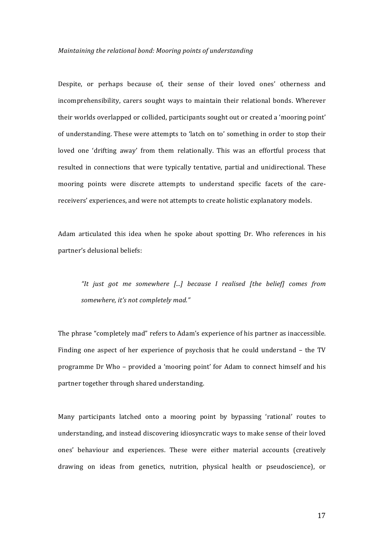#### *Maintaining the relational bond: Mooring points of understanding*

Despite, or perhaps because of, their sense of their loved ones' otherness and incomprehensibility, carers sought ways to maintain their relational bonds. Wherever their worlds overlapped or collided, participants sought out or created a 'mooring point' of understanding. These were attempts to 'latch on to' something in order to stop their loved one 'drifting away' from them relationally. This was an effortful process that resulted in connections that were typically tentative, partial and unidirectional. These mooring points were discrete attempts to understand specific facets of the carereceivers' experiences, and were not attempts to create holistic explanatory models.

Adam articulated this idea when he spoke about spotting Dr. Who references in his partner's delusional beliefs:

"It just got me somewhere [...] because I realised [the belief] comes from somewhere, it's not completely mad."

The phrase "completely mad" refers to Adam's experience of his partner as inaccessible. Finding one aspect of her experience of psychosis that he could understand  $-$  the TV programme Dr Who – provided a 'mooring point' for Adam to connect himself and his partner together through shared understanding.

Many participants latched onto a mooring point by bypassing 'rational' routes to understanding, and instead discovering idiosyncratic ways to make sense of their loved ones' behaviour and experiences. These were either material accounts (creatively drawing on ideas from genetics, nutrition, physical health or pseudoscience), or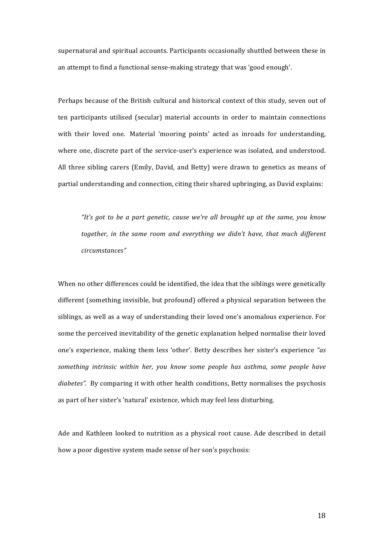supernatural and spiritual accounts. Participants occasionally shuttled between these in an attempt to find a functional sense-making strategy that was 'good enough'.

Perhaps because of the British cultural and historical context of this study, seven out of ten participants utilised (secular) material accounts in order to maintain connections with their loved one. Material 'mooring points' acted as inroads for understanding, where one, discrete part of the service-user's experience was isolated, and understood. All three sibling carers (Emily, David, and Betty) were drawn to genetics as means of partial understanding and connection, citing their shared upbringing, as David explains:

*"It's* got to be a part genetic, cause we're all brought up at the same, you know together, in the same room and everything we didn't have, that much different *circumstances"* 

When no other differences could be identified, the idea that the siblings were genetically different (something invisible, but profound) offered a physical separation between the siblings, as well as a way of understanding their loved one's anomalous experience. For some the perceived inevitability of the genetic explanation helped normalise their loved one's experience, making them less 'other'. Betty describes her sister's experience "as something intrinsic within her, you know some people has asthma, some people have *diabetes"*. By comparing it with other health conditions, Betty normalises the psychosis as part of her sister's 'natural' existence, which may feel less disturbing.

Ade and Kathleen looked to nutrition as a physical root cause. Ade described in detail how a poor digestive system made sense of her son's psychosis: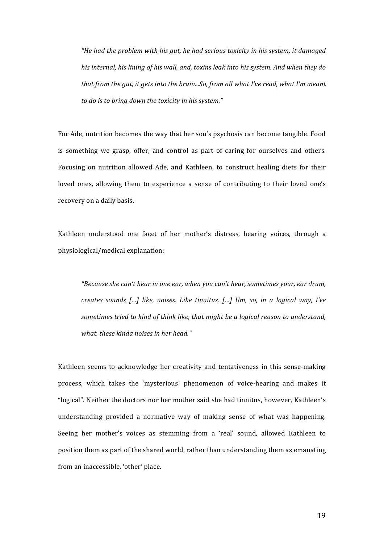*"He had the problem with his gut, he had serious toxicity in his system, it damaged his* internal, his lining of his wall, and, toxins leak into his system. And when they do *that from the gut, it gets into the brain...So, from all what I've read, what I'm meant* to do is to bring down the toxicity in his system."

For Ade, nutrition becomes the way that her son's psychosis can become tangible. Food is something we grasp, offer, and control as part of caring for ourselves and others. Focusing on nutrition allowed Ade, and Kathleen, to construct healing diets for their loved ones, allowing them to experience a sense of contributing to their loved one's recovery on a daily basis.

Kathleen understood one facet of her mother's distress, hearing voices, through a physiological/medical explanation:

*"Because she can't hear in one ear, when you can't hear, sometimes your, ear drum, creates sounds [...] like, noises. Like tinnitus. [...] Um, so, in a logical way, I've* sometimes tried to kind of think like, that might be a logical reason to understand, what, these kinda noises in her head."

Kathleen seems to acknowledge her creativity and tentativeness in this sense-making process, which takes the 'mysterious' phenomenon of voice-hearing and makes it "logical". Neither the doctors nor her mother said she had tinnitus, however, Kathleen's understanding provided a normative way of making sense of what was happening. Seeing her mother's voices as stemming from a 'real' sound, allowed Kathleen to position them as part of the shared world, rather than understanding them as emanating from an inaccessible, 'other' place.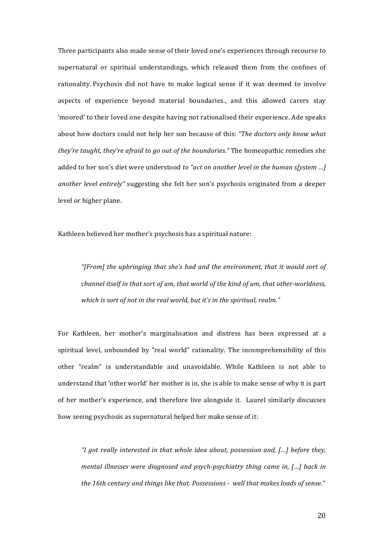Three participants also made sense of their loved one's experiences through recourse to supernatural or spiritual understandings, which released them from the confines of rationality. Psychosis did not have to make logical sense if it was deemed to involve aspects of experience beyond material boundaries., and this allowed carers stay 'moored' to their loved one despite having not rationalised their experience. Ade speaks about how doctors could not help her son because of this: *"The doctors only know what they're taught, they're afraid to go out of the boundaries.*" The homeopathic remedies she added to her son's diet were understood *to "act on another level in the human s[ystem ...]* another level entirely" suggesting she felt her son's psychosis originated from a deeper level or higher plane.

Kathleen believed her mother's psychosis has a spiritual nature:

*"[From] the upbringing that she's had and the environment, that it would sort of channel itself in that sort of um, that world of the kind of um, that other-worldness,* which is sort of not in the real world, but it's in the spiritual, realm."

For Kathleen, her mother's marginalisation and distress has been expressed at a spiritual level, unbounded by "real world" rationality. The incomprehensibility of this other "realm" is understandable and unavoidable. While Kathleen is not able to understand that 'other world' her mother is in, she is able to make sense of why it is part of her mother's experience, and therefore live alongside it. Laurel similarly discusses how seeing psychosis as supernatural helped her make sense of it:

*"I* got really interested in that whole idea about, possession and, [...] before they, *mental illnesses were diagnosed and psych-psychiatry thing came in, [...] back in* the 16th century and things like that. Possessions - well that makes loads of sense."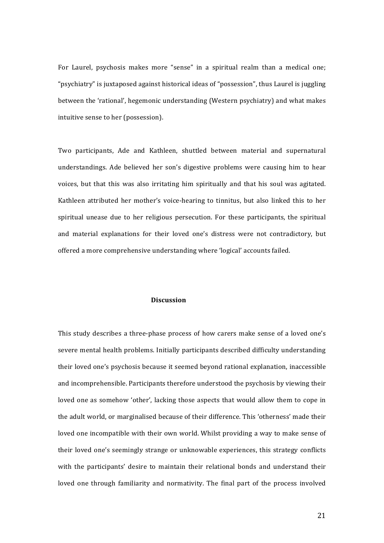For Laurel, psychosis makes more "sense" in a spiritual realm than a medical one; "psychiatry" is juxtaposed against historical ideas of "possession", thus Laurel is juggling between the 'rational', hegemonic understanding (Western psychiatry) and what makes intuitive sense to her (possession).

Two participants, Ade and Kathleen, shuttled between material and supernatural understandings. Ade believed her son's digestive problems were causing him to hear voices, but that this was also irritating him spiritually and that his soul was agitated. Kathleen attributed her mother's voice-hearing to tinnitus, but also linked this to her spiritual unease due to her religious persecution. For these participants, the spiritual and material explanations for their loved one's distress were not contradictory, but offered a more comprehensive understanding where 'logical' accounts failed.

### Discussion

This study describes a three-phase process of how carers make sense of a loved one's severe mental health problems. Initially participants described difficulty understanding their loved one's psychosis because it seemed beyond rational explanation, inaccessible and incomprehensible. Participants therefore understood the psychosis by viewing their loved one as somehow 'other', lacking those aspects that would allow them to cope in the adult world, or marginalised because of their difference. This 'otherness' made their loved one incompatible with their own world. Whilst providing a way to make sense of their loved one's seemingly strange or unknowable experiences, this strategy conflicts with the participants' desire to maintain their relational bonds and understand their loved one through familiarity and normativity. The final part of the process involved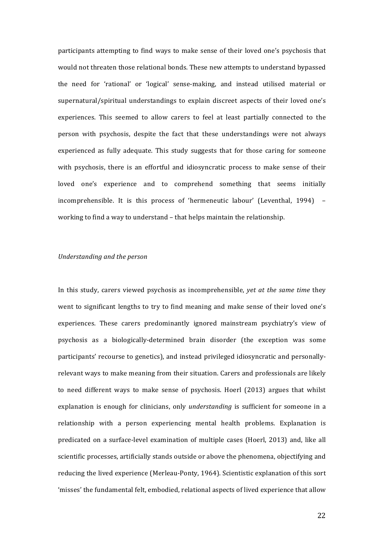participants attempting to find ways to make sense of their loved one's psychosis that would not threaten those relational bonds. These new attempts to understand bypassed the need for 'rational' or 'logical' sense-making, and instead utilised material or supernatural/spiritual understandings to explain discreet aspects of their loved one's experiences. This seemed to allow carers to feel at least partially connected to the person with psychosis, despite the fact that these understandings were not always experienced as fully adequate. This study suggests that for those caring for someone with psychosis, there is an effortful and idiosyncratic process to make sense of their loved one's experience and to comprehend something that seems initially incomprehensible. It is this process of 'hermeneutic labour' (Leventhal,  $1994$ ) – working to find a way to understand – that helps maintain the relationship.

### *Understanding and the person*

In this study, carers viewed psychosis as incomprehensible, *yet at the same time* they went to significant lengths to try to find meaning and make sense of their loved one's experiences. These carers predominantly ignored mainstream psychiatry's view of psychosis as a biologically-determined brain disorder (the exception was some participants' recourse to genetics), and instead privileged idiosyncratic and personallyrelevant ways to make meaning from their situation. Carers and professionals are likely to need different ways to make sense of psychosis. Hoerl (2013) argues that whilst explanation is enough for clinicians, only *understanding* is sufficient for someone in a relationship with a person experiencing mental health problems. Explanation is predicated on a surface-level examination of multiple cases (Hoerl, 2013) and, like all scientific processes, artificially stands outside or above the phenomena, objectifying and reducing the lived experience (Merleau-Ponty, 1964). Scientistic explanation of this sort 'misses' the fundamental felt, embodied, relational aspects of lived experience that allow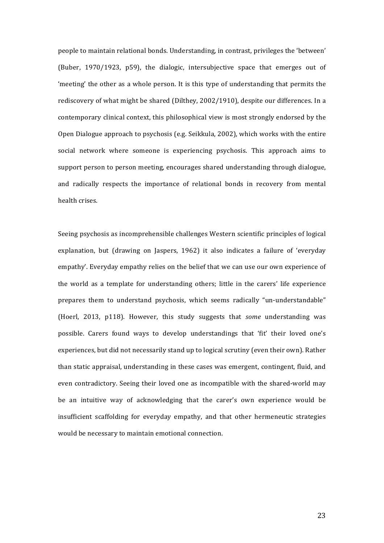people to maintain relational bonds. Understanding, in contrast, privileges the 'between' (Buber,  $1970/1923$ ,  $p59$ ), the dialogic, intersubjective space that emerges out of 'meeting' the other as a whole person. It is this type of understanding that permits the rediscovery of what might be shared (Dilthey, 2002/1910), despite our differences. In a contemporary clinical context, this philosophical view is most strongly endorsed by the Open Dialogue approach to psychosis (e.g. Seikkula, 2002), which works with the entire social network where someone is experiencing psychosis. This approach aims to support person to person meeting, encourages shared understanding through dialogue, and radically respects the importance of relational bonds in recovery from mental health crises.

Seeing psychosis as incomprehensible challenges Western scientific principles of logical explanation, but (drawing on Jaspers, 1962) it also indicates a failure of 'everyday empathy'. Everyday empathy relies on the belief that we can use our own experience of the world as a template for understanding others; little in the carers' life experience prepares them to understand psychosis, which seems radically "un-understandable" (Hoerl, 2013, p118). However, this study suggests that *some* understanding was possible. Carers found ways to develop understandings that 'fit' their loved one's experiences, but did not necessarily stand up to logical scrutiny (even their own). Rather than static appraisal, understanding in these cases was emergent, contingent, fluid, and even contradictory. Seeing their loved one as incompatible with the shared-world may be an intuitive way of acknowledging that the carer's own experience would be insufficient scaffolding for everyday empathy, and that other hermeneutic strategies would be necessary to maintain emotional connection.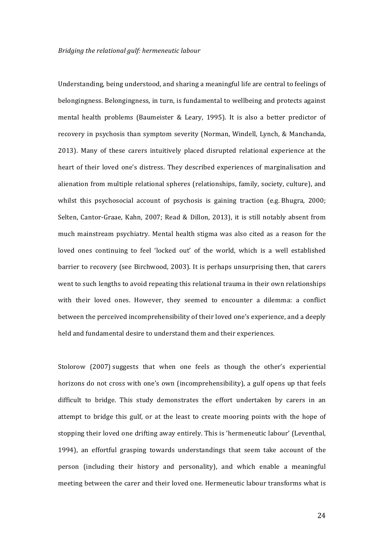Understanding, being understood, and sharing a meaningful life are central to feelings of belongingness. Belongingness, in turn, is fundamental to wellbeing and protects against mental health problems (Baumeister & Leary, 1995). It is also a better predictor of recovery in psychosis than symptom severity (Norman, Windell, Lynch, & Manchanda, 2013). Many of these carers intuitively placed disrupted relational experience at the heart of their loved one's distress. They described experiences of marginalisation and alienation from multiple relational spheres (relationships, family, society, culture), and whilst this psychosocial account of psychosis is gaining traction (e.g. Bhugra,  $2000$ ; Selten, Cantor-Graae, Kahn, 2007; Read & Dillon, 2013), it is still notably absent from much mainstream psychiatry. Mental health stigma was also cited as a reason for the loved ones continuing to feel 'locked out' of the world, which is a well established barrier to recovery (see Birchwood, 2003). It is perhaps unsurprising then, that carers went to such lengths to avoid repeating this relational trauma in their own relationships with their loved ones. However, they seemed to encounter a dilemma: a conflict between the perceived incomprehensibility of their loved one's experience, and a deeply held and fundamental desire to understand them and their experiences.

Stolorow (2007) suggests that when one feels as though the other's experiential horizons do not cross with one's own (incomprehensibility), a gulf opens up that feels difficult to bridge. This study demonstrates the effort undertaken by carers in an attempt to bridge this gulf, or at the least to create mooring points with the hope of stopping their loved one drifting away entirely. This is 'hermeneutic labour' (Leventhal, 1994), an effortful grasping towards understandings that seem take account of the person (including their history and personality), and which enable a meaningful meeting between the carer and their loved one. Hermeneutic labour transforms what is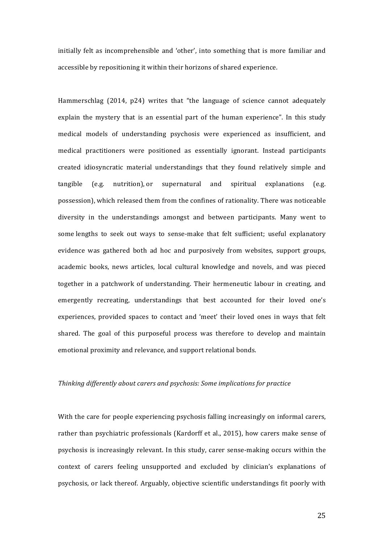initially felt as incomprehensible and 'other', into something that is more familiar and accessible by repositioning it within their horizons of shared experience.

Hammerschlag (2014, p24) writes that "the language of science cannot adequately explain the mystery that is an essential part of the human experience". In this study medical models of understanding psychosis were experienced as insufficient, and medical practitioners were positioned as essentially ignorant. Instead participants created idiosyncratic material understandings that they found relatively simple and  $t$ angible (e.g. nutrition), or supernatural and spiritual explanations (e.g. possession), which released them from the confines of rationality. There was noticeable diversity in the understandings amongst and between participants. Many went to some lengths to seek out ways to sense-make that felt sufficient; useful explanatory evidence was gathered both ad hoc and purposively from websites, support groups, academic books, news articles, local cultural knowledge and novels, and was pieced together in a patchwork of understanding. Their hermeneutic labour in creating, and emergently recreating, understandings that best accounted for their loved one's experiences, provided spaces to contact and 'meet' their loved ones in ways that felt shared. The goal of this purposeful process was therefore to develop and maintain emotional proximity and relevance, and support relational bonds.

# *Thinking differently about carers and psychosis: Some implications for practice*

With the care for people experiencing psychosis falling increasingly on informal carers, rather than psychiatric professionals (Kardorff et al., 2015), how carers make sense of psychosis is increasingly relevant. In this study, carer sense-making occurs within the context of carers feeling unsupported and excluded by clinician's explanations of psychosis, or lack thereof. Arguably, objective scientific understandings fit poorly with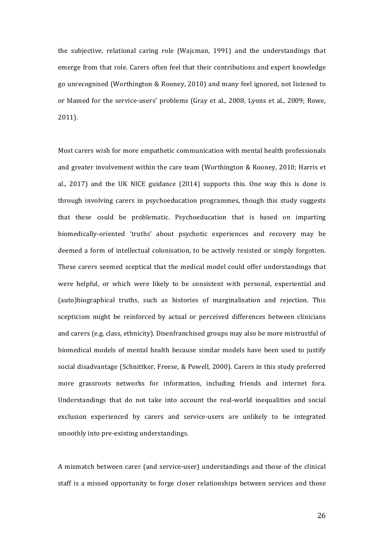the subjective, relational caring role (Wajcman, 1991) and the understandings that emerge from that role. Carers often feel that their contributions and expert knowledge go unrecognised (Worthington & Rooney, 2010) and many feel ignored, not listened to or blamed for the service-users' problems (Gray et al., 2008, Lyons et al., 2009; Rowe, 2011). 

Most carers wish for more empathetic communication with mental health professionals and greater involvement within the care team (Worthington & Rooney, 2010; Harris et al.,  $2017$ ) and the UK NICE guidance  $(2014)$  supports this. One way this is done is through involving carers in psychoeducation programmes, though this study suggests that these could be problematic. Psychoeducation that is based on imparting biomedically-oriented 'truths' about psychotic experiences and recovery may be deemed a form of intellectual colonisation, to be actively resisted or simply forgotten. These carers seemed sceptical that the medical model could offer understandings that were helpful, or which were likely to be consistent with personal, experiential and (auto)biographical truths, such as histories of marginalisation and rejection. This scepticism might be reinforced by actual or perceived differences between clinicians and carers (e.g. class, ethnicity). Disenfranchised groups may also be more mistrustful of biomedical models of mental health because similar models have been used to justify social disadvantage (Schnittker, Freese, & Powell, 2000). Carers in this study preferred more grassroots networks for information, including friends and internet fora. Understandings that do not take into account the real-world inequalities and social exclusion experienced by carers and service-users are unlikely to be integrated smoothly into pre-existing understandings.

A mismatch between carer (and service-user) understandings and those of the clinical staff is a missed opportunity to forge closer relationships between services and those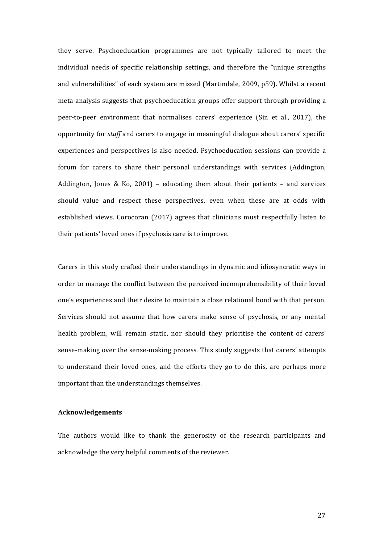they serve. Psychoeducation programmes are not typically tailored to meet the individual needs of specific relationship settings, and therefore the "unique strengths and vulnerabilities" of each system are missed (Martindale, 2009, p59). Whilst a recent meta-analysis suggests that psychoeducation groups offer support through providing a peer-to-peer environment that normalises carers' experience (Sin et al., 2017), the opportunity for *staff* and carers to engage in meaningful dialogue about carers' specific experiences and perspectives is also needed. Psychoeducation sessions can provide a forum for carers to share their personal understandings with services (Addington, Addington, Jones & Ko, 2001) – educating them about their patients – and services should value and respect these perspectives, even when these are at odds with established views. Corocoran (2017) agrees that clinicians must respectfully listen to their patients' loved ones if psychosis care is to improve.

Carers in this study crafted their understandings in dynamic and idiosyncratic ways in order to manage the conflict between the perceived incomprehensibility of their loved one's experiences and their desire to maintain a close relational bond with that person. Services should not assume that how carers make sense of psychosis, or any mental health problem, will remain static, nor should they prioritise the content of carers' sense-making over the sense-making process. This study suggests that carers' attempts to understand their loved ones, and the efforts they go to do this, are perhaps more important than the understandings themselves.

# **Acknowledgements**

The authors would like to thank the generosity of the research participants and acknowledge the very helpful comments of the reviewer.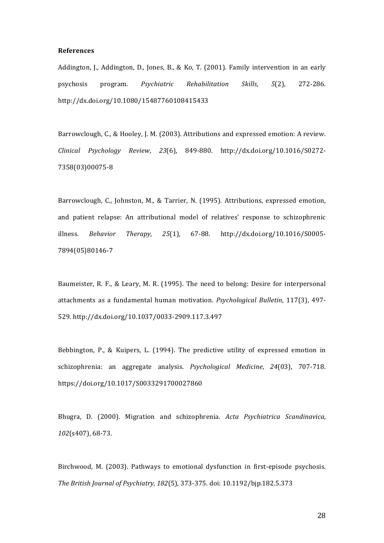#### **References**

Addington, J., Addington, D., Jones, B., & Ko, T. (2001). Family intervention in an early psychosis program. *Psychiatric Rehabilitation Skills*, *5*(2), 272-286. http://dx.doi.org/10.1080/15487760108415433

Barrowclough, C., & Hooley, J. M. (2003). Attributions and expressed emotion: A review. *Clinical Psychology Review*, *23*(6), 849-880. http://dx.doi.org/10.1016/S0272- 7358(03)00075-8

Barrowclough, C., Johnston, M., & Tarrier, N. (1995). Attributions, expressed emotion, and patient relapse: An attributional model of relatives' response to schizophrenic illness. *Behavior Therapy*, *25*(1), 67-88. http://dx.doi.org/10.1016/S0005- 7894(05)80146-7

Baumeister, R. F., & Leary, M. R. (1995). The need to belong: Desire for interpersonal attachments as a fundamental human motivation. *Psychological Bulletin*, 117(3), 497-529. http://dx.doi.org/10.1037/0033-2909.117.3.497

Bebbington, P., & Kuipers, L. (1994). The predictive utility of expressed emotion in schizophrenia: an aggregate analysis. *Psychological Medicine*, *24*(03), 707-718. https://doi.org/10.1017/S0033291700027860

Bhugra, D. (2000). Migration and schizophrenia. *Acta Psychiatrica Scandinavica*, 102(s407), 68-73.

Birchwood, M. (2003). Pathways to emotional dysfunction in first-episode psychosis. *The British Journal of Psychiatry*, *182*(5), 373-375. doi: 10.1192/bjp.182.5.373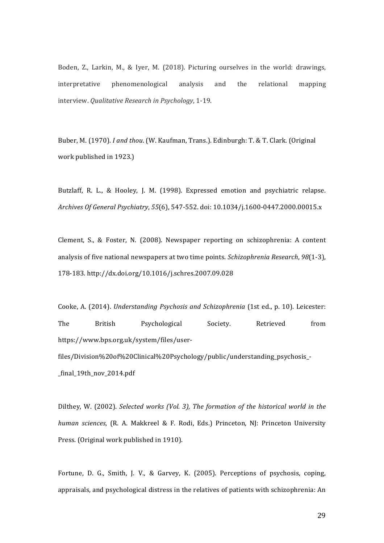Boden, Z., Larkin, M., & Iyer, M. (2018). Picturing ourselves in the world: drawings, interpretative phenomenological analysis and the relational mapping interview. *Qualitative Research in Psychology*, 1-19.

Buber, M. (1970). *I and thou*. (W. Kaufman, Trans.). Edinburgh: T. & T. Clark. (Original work published in 1923.)

Butzlaff, R. L., & Hooley, J. M. (1998). Expressed emotion and psychiatric relapse. *Archives Of General Psychiatry*, *55*(6), 547-552. doi: 10.1034/j.1600-0447.2000.00015.x

Clement, S., & Foster, N. (2008). Newspaper reporting on schizophrenia: A content analysis of five national newspapers at two time points. *Schizophrenia Research*, 98(1-3), 178-183. http://dx.doi.org/10.1016/j.schres.2007.09.028

Cooke, A. (2014). *Understanding Psychosis and Schizophrenia* (1st ed., p. 10). Leicester: The British Psychological Society. Retrieved from https://www.bps.org.uk/system/files/userfiles/Division%20of%20Clinical%20Psychology/public/understanding\_psychosis\_- \_final\_19th\_nov\_2014.pdf

Dilthey, W. (2002). *Selected works (Vol. 3), The formation of the historical world in the human sciences*, (R. A. Makkreel & F. Rodi, Eds.) Princeton, NJ: Princeton University Press. (Original work published in 1910).

Fortune, D. G., Smith, J. V., & Garvey, K. (2005). Perceptions of psychosis, coping, appraisals, and psychological distress in the relatives of patients with schizophrenia: An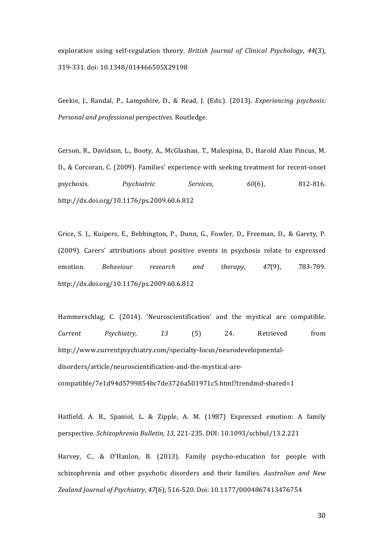exploration using self-regulation theory. *British Journal of Clinical Psychology*, 44(3), 319-331. doi: 10.1348/014466505X29198

Geekie, J., Randal, P., Lampshire, D., & Read, J. (Eds.). (2013). *Experiencing psychosis: Personal and professional perspectives*. Routledge. 

Gerson, R., Davidson, L., Booty, A., McGlashan, T., Malespina, D., Harold Alan Pincus, M. D., & Corcoran, C. (2009). Families' experience with seeking treatment for recent-onset psychosis. *Psychiatric Services*, *60*(6), 812-816. http://dx.doi.org/10.1176/ps.2009.60.6.812

Grice, S. J., Kuipers, E., Bebbington, P., Dunn, G., Fowler, D., Freeman, D., & Garety, P. (2009). Carers' attributions about positive events in psychosis relate to expressed emotion. *Behaviour research and therapy*, 47(9), 783-789. http://dx.doi.org/10.1176/ps.2009.60.6.812 

Hammerschlag, C. (2014). 'Neuroscientification' and the mystical are compatible. *Current Psychiatry, 13*  (5) 24. Retrieved from http://www.currentpsychiatry.com/specialty-focus/neurodevelopmentaldisorders/article/neuroscientification-and-the-mystical-arecompatible/7e1d94d5799854bc7de3726a501971c5.html?trendmd-shared=1

Hatfield, A. B., Spaniol, L. & Zipple, A. M. (1987) Expressed emotion: A family perspective. *Schizophrenia Bulletin, 13*, 221-235. DOI: 10.1093/schbul/13.2.221

Harvey, C., & O'Hanlon, B. (2013). Family psycho-education for people with schizophrenia and other psychotic disorders and their families. Australian and New Zealand Journal of Psychiatry, 47(6), 516-520. Doi: 10.1177/0004867413476754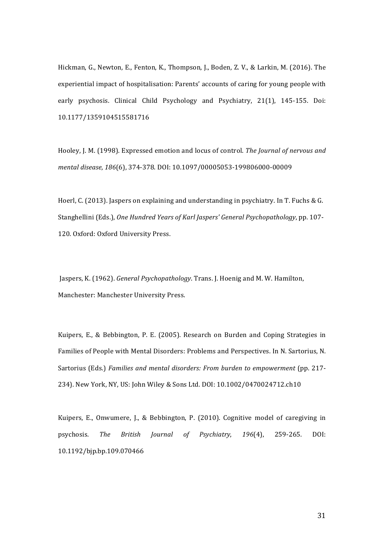Hickman, G., Newton, E., Fenton, K., Thompson, J., Boden, Z. V., & Larkin, M. (2016). The experiential impact of hospitalisation: Parents' accounts of caring for young people with early psychosis. Clinical Child Psychology and Psychiatry, 21(1), 145-155. Doi: 10.1177/1359104515581716 

Hooley, J. M. (1998). Expressed emotion and locus of control. *The Journal of nervous and mental disease*, *186*(6), 374-378. DOI: 10.1097/00005053-199806000-00009

Hoerl, C. (2013). Jaspers on explaining and understanding in psychiatry. In T. Fuchs & G. Stanghellini (Eds.), *One Hundred Years of Karl Jaspers' General Psychopathology*, pp. 107-120. Oxford: Oxford University Press.

Jaspers, K. (1962). *General Psychopathology*. Trans. J. Hoenig and M. W. Hamilton, Manchester: Manchester University Press.

Kuipers, E., & Bebbington, P. E. (2005). Research on Burden and Coping Strategies in Families of People with Mental Disorders: Problems and Perspectives. In N. Sartorius, N. Sartorius (Eds.) *Families and mental disorders: From burden to empowerment* (pp. 217-234). New York, NY, US: John Wiley & Sons Ltd. DOI: 10.1002/0470024712.ch10

Kuipers, E., Onwumere, J., & Bebbington, P. (2010). Cognitive model of caregiving in psychosis. *The British Journal of Psychiatry*, *196*(4), 259-265. DOI: 10.1192/bjp.bp.109.070466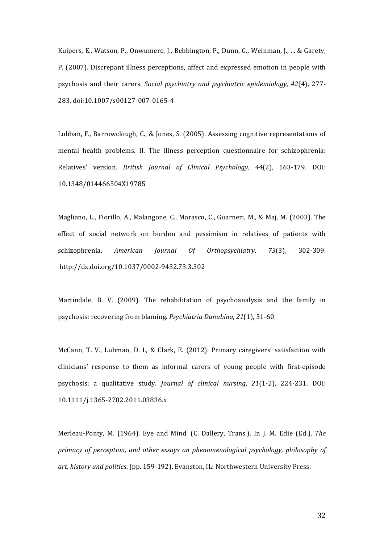Kuipers, E., Watson, P., Onwumere, J., Bebbington, P., Dunn, G., Weinman, J., ... & Garety, P. (2007). Discrepant illness perceptions, affect and expressed emotion in people with psychosis and their carers. *Social psychiatry and psychiatric epidemiology*, 42(4), 277-283. doi:10.1007/s00127-007-0165-4

Lobban, F., Barrowclough, C., & Jones, S. (2005). Assessing cognitive representations of mental health problems. II. The illness perception questionnaire for schizophrenia: Relatives' version. *British Journal of Clinical Psychology*, *44*(2), 163-179. DOI: 10.1348/014466504X19785

Magliano, L., Fiorillo, A., Malangone, C., Marasco, C., Guarneri, M., & Maj, M. (2003). The effect of social network on burden and pessimism in relatives of patients with schizophrenia. *American Journal Of Orthopsychiatry*, 73(3), 302-309. http://dx.doi.org/10.1037/0002-9432.73.3.302

Martindale, B. V. (2009). The rehabilitation of psychoanalysis and the family in psychosis: recovering from blaming. *Psychiatria Danubina*, 21(1), 51-60.

McCann, T. V., Lubman, D. I., & Clark, E. (2012). Primary caregivers' satisfaction with clinicians' response to them as informal carers of young people with first-episode psychosis: a qualitative study. *Journal of clinical nursing*, 21(1-2), 224-231. DOI: 10.1111/j.1365-2702.2011.03836.x

Merleau-Ponty, M. (1964). Eye and Mind. (C. Dallery, Trans.). In J. M. Edie (Ed.), *The primacy of perception, and other essays on phenomenological psychology, philosophy of* art, history and politics, (pp. 159-192). Evanston, IL: Northwestern University Press.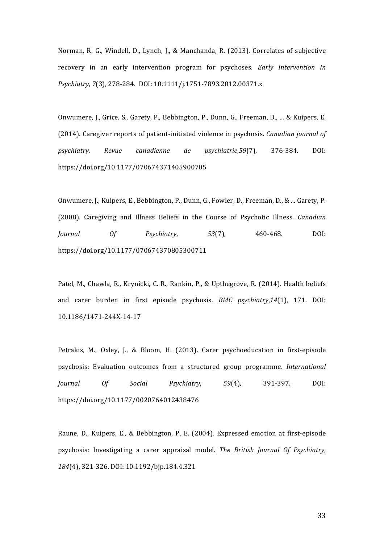Norman, R. G., Windell, D., Lynch, J., & Manchanda, R. (2013). Correlates of subjective recovery in an early intervention program for psychoses. *Early Intervention In Psychiatry*, *7*(3), 278-284. DOI: 10.1111/j.1751-7893.2012.00371.x

Onwumere, J., Grice, S., Garety, P., Bebbington, P., Dunn, G., Freeman, D., ... & Kuipers, E. (2014). Caregiver reports of patient-initiated violence in psychosis. *Canadian journal of psychiatry. Revue canadienne de psychiatrie*,*59*(7), 376-384. DOI: https://doi.org/10.1177/070674371405900705

Onwumere, J., Kuipers, E., Bebbington, P., Dunn, G., Fowler, D., Freeman, D., & ... Garety, P. (2008). Caregiving and Illness Beliefs in the Course of Psychotic Illness. *Canadian Journal Of Psychiatry*, *53*(7), 460-468. DOI: https://doi.org/10.1177/070674370805300711

Patel, M., Chawla, R., Krynicki, C. R., Rankin, P., & Upthegrove, R. (2014). Health beliefs and carer burden in first episode psychosis. *BMC psychiatry*,14(1), 171. DOI: 10.1186/1471-244X-14-17

Petrakis, M., Oxley, J., & Bloom, H. (2013). Carer psychoeducation in first-episode psychosis: Evaluation outcomes from a structured group programme. *International Journal Of Social Psychiatry*, *59*(4), 391-397. DOI: https://doi.org/10.1177/0020764012438476

Raune, D., Kuipers, E., & Bebbington, P. E. (2004). Expressed emotion at first-episode psychosis: Investigating a carer appraisal model. *The British Journal Of Psychiatry*, 184(4), 321-326. DOI: 10.1192/bjp.184.4.321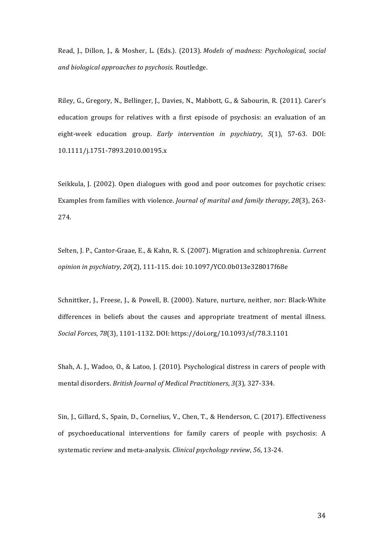Read, J., Dillon, J., & Mosher, L. (Eds.). (2013). *Models of madness: Psychological, social and biological approaches to psychosis.* Routledge.

Riley, G., Gregory, N., Bellinger, J., Davies, N., Mabbott, G., & Sabourin, R. (2011). Carer's education groups for relatives with a first episode of psychosis: an evaluation of an eight-week education group. *Early intervention in psychiatry*, 5(1), 57-63. DOI: 10.1111/j.1751-7893.2010.00195.x

Seikkula, J. (2002). Open dialogues with good and poor outcomes for psychotic crises: Examples from families with violence. *Journal of marital and family therapy*, 28(3), 263-274.

Selten, J. P., Cantor-Graae, E., & Kahn, R. S. (2007). Migration and schizophrenia. *Current opinion in psychiatry, 20*(2), 111-115. doi: 10.1097/YCO.0b013e328017f68e

Schnittker, J., Freese, J., & Powell, B. (2000). Nature, nurture, neither, nor: Black-White differences in beliefs about the causes and appropriate treatment of mental illness. *Social Forces*, *78*(3), 1101-1132. DOI: https://doi.org/10.1093/sf/78.3.1101

Shah, A. J., Wadoo, O., & Latoo, J. (2010). Psychological distress in carers of people with mental disorders. *British Journal of Medical Practitioners*, 3(3), 327-334.

Sin, J., Gillard, S., Spain, D., Cornelius, V., Chen, T., & Henderson, C. (2017). Effectiveness of psychoeducational interventions for family carers of people with psychosis: A systematic review and meta-analysis. *Clinical psychology review*, 56, 13-24.